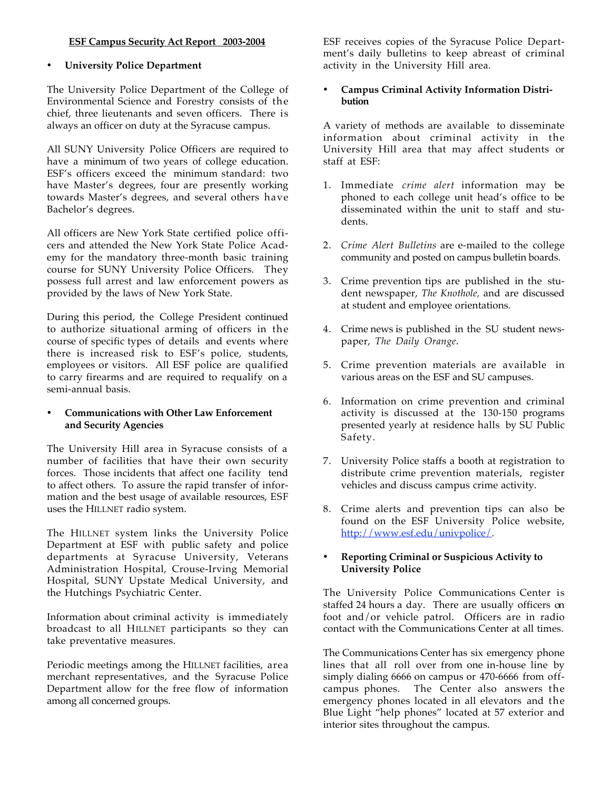## **ESF Campus Security Act Report 2003-2004**

# **University Police Department**

The University Police Department of the College of Environmental Science and Forestry consists of the chief, three lieutenants and seven officers. There is always an officer on duty at the Syracuse campus.

All SUNY University Police Officers are required to have a minimum of two years of college education. ESF's officers exceed the minimum standard: two have Master's degrees, four are presently working towards Master's degrees, and several others have Bachelor's degrees.

All officers are New York State certified police officers and attended the New York State Police Academy for the mandatory three-month basic training course for SUNY University Police Officers. They possess full arrest and law enforcement powers as provided by the laws of New York State.

During this period, the College President continued to authorize situational arming of officers in the course of specific types of details and events where there is increased risk to ESF's police, students, employees or visitors. All ESF police are qualified to carry firearms and are required to requalify on a semi-annual basis.

## • **Communications with Other Law Enforcement and Security Agencies**

The University Hill area in Syracuse consists of a number of facilities that have their own security forces. Those incidents that affect one facility tend to affect others. To assure the rapid transfer of information and the best usage of available resources, ESF uses the HILLNET radio system.

The HILLNET system links the University Police Department at ESF with public safety and police departments at Syracuse University, Veterans Administration Hospital, Crouse-Irving Memorial Hospital, SUNY Upstate Medical University, and the Hutchings Psychiatric Center.

Information about criminal activity is immediately broadcast to all HILLNET participants so they can take preventative measures.

Periodic meetings among the HILLNET facilities, area merchant representatives, and the Syracuse Police Department allow for the free flow of information among all concerned groups.

ESF receives copies of the Syracuse Police Department's daily bulletins to keep abreast of criminal activity in the University Hill area.

## • **Campus Criminal Activity Information Distribution**

A variety of methods are available to disseminate information about criminal activity in the University Hill area that may affect students or staff at ESF:

- 1. Immediate *crime alert* information may be phoned to each college unit head's office to be disseminated within the unit to staff and students.
- 2. *Crime Alert Bulletins* are e-mailed to the college community and posted on campus bulletin boards.
- 3. Crime prevention tips are published in the student newspaper, *The Knothole,* and are discussed at student and employee orientations.
- 4. Crime news is published in the SU student newspaper, *The Daily Orange*.
- 5. Crime prevention materials are available in various areas on the ESF and SU campuses.
- 6. Information on crime prevention and criminal activity is discussed at the 130-150 programs presented yearly at residence halls by SU Public Safety.
- 7. University Police staffs a booth at registration to distribute crime prevention materials, register vehicles and discuss campus crime activity.
- 8. Crime alerts and prevention tips can also be found on the ESF University Police website, http://www.esf.edu/univpolice/

## • **Reporting Criminal or Suspicious Activity to University Police**

The University Police Communications Center is staffed 24 hours a day. There are usually officers on foot and/or vehicle patrol. Officers are in radio contact with the Communications Center at all times.

The Communications Center has six emergency phone lines that all roll over from one in-house line by simply dialing 6666 on campus or 470-6666 from offcampus phones. The Center also answers the emergency phones located in all elevators and the Blue Light "help phones" located at 57 exterior and interior sites throughout the campus.